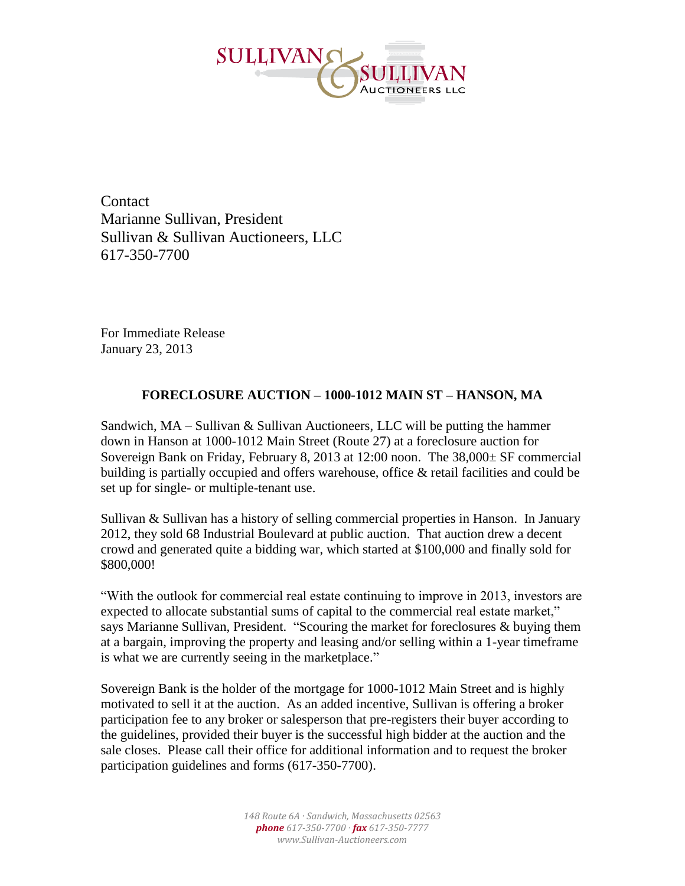

**Contact** Marianne Sullivan, President Sullivan & Sullivan Auctioneers, LLC 617-350-7700

For Immediate Release January 23, 2013

## **FORECLOSURE AUCTION – 1000-1012 MAIN ST – HANSON, MA**

Sandwich,  $MA -$  Sullivan  $\&$  Sullivan Auctioneers, LLC will be putting the hammer down in Hanson at 1000-1012 Main Street (Route 27) at a foreclosure auction for Sovereign Bank on Friday, February 8, 2013 at 12:00 noon. The 38,000± SF commercial building is partially occupied and offers warehouse, office & retail facilities and could be set up for single- or multiple-tenant use.

Sullivan & Sullivan has a history of selling commercial properties in Hanson. In January 2012, they sold 68 Industrial Boulevard at public auction. That auction drew a decent crowd and generated quite a bidding war, which started at \$100,000 and finally sold for \$800,000!

"With the outlook for commercial real estate continuing to improve in 2013, investors are expected to allocate substantial sums of capital to the commercial real estate market," says Marianne Sullivan, President. "Scouring the market for foreclosures & buying them at a bargain, improving the property and leasing and/or selling within a 1-year timeframe is what we are currently seeing in the marketplace."

Sovereign Bank is the holder of the mortgage for 1000-1012 Main Street and is highly motivated to sell it at the auction. As an added incentive, Sullivan is offering a broker participation fee to any broker or salesperson that pre-registers their buyer according to the guidelines, provided their buyer is the successful high bidder at the auction and the sale closes. Please call their office for additional information and to request the broker participation guidelines and forms (617-350-7700).